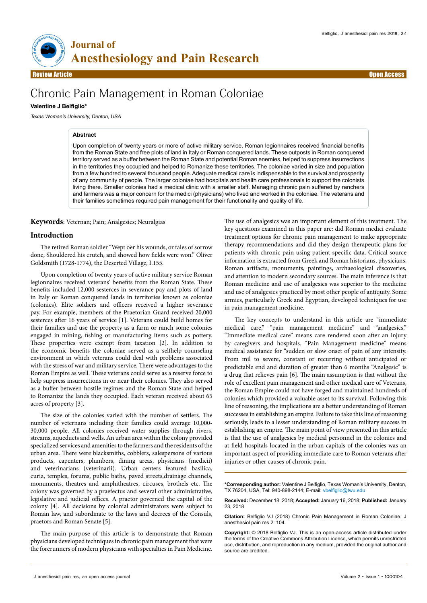

Review Article Open Access

# Chronic Pain Management in Roman Coloniae

# **Valentine J Belfiglio\***

Texas Woman's University, Denton, USA

## **Abstract**

Upon completion of twenty years or more of active military service, Roman legionnaires received financial benefits from the Roman State and free plots of land in Italy or Roman conquered lands. These outposts in Roman conquered territory served as a buffer between the Roman State and potential Roman enemies, helped to suppress insurrections in the territories they occupied and helped to Romanize these territories. The coloniae varied in size and population from a few hundred to several thousand people. Adequate medical care is indispensable to the survival and prosperity of any community of people. The larger coloniae had hospitals and health care professionals to support the colonists living there. Smaller colonies had a medical clinic with a smaller staff. Managing chronic pain suffered by ranchers and farmers was a major concern for the medici (physicians) who lived and worked in the coloniae. The veterans and their families sometimes required pain management for their functionality and quality of life.

**Keywords**: Veternan; Pain; Analgesics; Neuralgias

## **Introduction**

The retired Roman soldier "Wept o'er his wounds, or tales of sorrow done, Shouldered his crutch, and showed how fields were won." Oliver Goldsmith (1728-1774), the Deserted Village, I.155.

Upon completion of twenty years of active military service Roman legionnaires received veterans' benefits from the Roman State. These benefits included 12,000 sesterces in severance pay and plots of land in Italy or Roman conquered lands in territories known as coloniae (colonies). Elite soldiers and officers received a higher severance pay. For example, members of the Praetorian Guard received 20,000 sesterces after 16 years of service [1]. Veterans could build homes for their families and use the property as a farm or ranch some colonies engaged in mining, fishing or manufacturing items such as pottery. These properties were exempt from taxation [2]. In addition to the economic benefits the coloniae served as a selfhelp counseling environment in which veterans could deal with problems associated with the stress of war and military service. There were advantages to the Roman Empire as well. These veterans could serve as a reserve force to help suppress insurrections in or near their colonies. They also served as a buffer between hostile regimes and the Roman State and helped to Romanize the lands they occupied. Each veteran received about 65 acres of property [3].

The size of the colonies varied with the number of settlers. The number of veternans including their families could average 10,000- 30,000 people. All colonies received water supplies through rivers, streams, aqueducts and wells. An urban area within the colony provided specialized services and amenities to the farmers and the residents of the urban area. There were blacksmiths, cobblers, salespersons of various products, capenters, plumbers, dining areas, physicians (medicii) and veterinarians (veterinarii). Urban centers featured basilica, curia, temples, forums, public baths, paved streets,drainage channels, monuments, theatres and amphitheatres, circuses, brothels etc. The colony was governed by a praefectus and several other administrative, legislative and judicial offices. A praetor governed the capital of the colony [4]. All decisions by colonial administrators were subject to Roman law, and subordinate to the laws and decrees of the Consuls, praetors and Roman Senate [5].

The main purpose of this article is to demonstrate that Roman physicians developed techniques in chronic pain management that were the forerunners of modern physicians with specialties in Pain Medicine. The use of analgesics was an important element of this treatment. The key questions examined in this paper are: did Roman medici evaluate treatment options for chronic pain management to make appropriate therapy recommendations and did they design therapeutic plans for patients with chronic pain using patient specific data. Critical source information is extracted from Greek and Roman historians, physicians, Roman artifacts, monuments, paintings, archaeological discoveries, and attention to modern secondary sources. The main inference is that Roman medicine and use of analgesics was superior to the medicine and use of analgesics practiced by most other people of antiquity. Some armies, particularly Greek and Egyptian, developed techniques for use in pain management medicine.

The key concepts to understand in this article are "immediate medical care," "pain management medicine" and "analgesics." "Immediate medical care" means care rendered soon after an injury by caregivers and hospitals. "Pain Management medicine" means medical assistance for "sudden or slow onset of pain of any intensity. From mil to severe, constant or recurring without anticipated or predictable end and duration of greater than 6 months "Analgesic" is a drug that relieves pain [6]. The main assumption is that without the role of excellent pain management and other medical care of Veterans, the Roman Empire could not have forged and maintained hundreds of colonies which provided a valuable asset to its survival. Following this line of reasoning, the implications are a better understanding of Roman successes in establishing an empire. Failure to take this line of reasoning seriously, leads to a lesser understanding of Roman military success in establishing an empire. The main point of view presented in this article is that the use of analgesics by medical personnel in the colonies and at field hospitals located in the urban capitals of the colonies was an important aspect of providing immediate care to Roman veterans after injuries or other causes of chronic pain.

**\*Corresponding author:** Valentine J Belfiglio, Texas Woman's University, Denton, TX 76204, USA, Tel: 940-898-2144; E-mail: vbelfiglio@twu.edu

**Received:** December 18, 2018; **Accepted:** January 16, 2018; **Published:** January 23, 2018

**Citation:** Belfiglio VJ (2018) Chronic Pain Management in Roman Coloniae. J anesthesiol pain res 2: 104.

**Copyright:** © 2018 Belfiglio VJ. This is an open-access article distributed under the terms of the Creative Commons Attribution License, which permits unrestricted use, distribution, and reproduction in any medium, provided the original author and source are credited.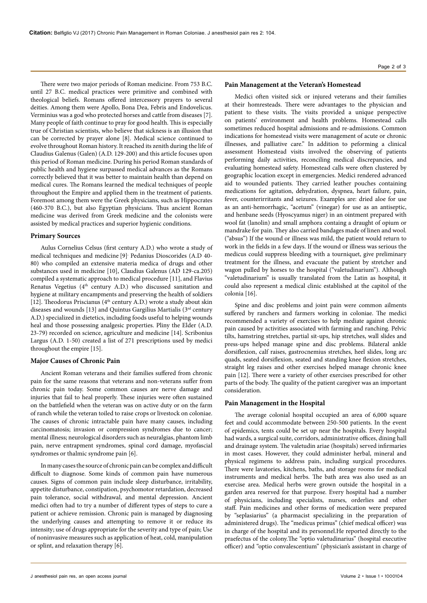There were two major periods of Roman medicine. From 753 B.C. until 27 B.C. medical practices were primitive and combined with theological beliefs. Romans offered intercessory prayers to several deities. Among them were Apollo, Bona Dea, Febris and Endovelicus. Verminius was a god who protected horses and cattle from diseases [7]. Many people of faith continue to pray for good health. This is especially true of Christian scientists, who believe that sickness is an illusion that can be corrected by prayer alone [8]. Medical science continued to evolve throughout Roman history. It reached its zenith during the life of Claudius Galenus (Galen) (A.D. 129-200) and this article focuses upon this period of Roman medicine. During his period Roman standards of public health and hygiene surpassed medical advances as the Romans correctly believed that it was better to maintain health than depend on medical cures. The Romans learned the medical techniques of people throughout the Empire and applied them in the treatment of patients. Foremost among them were the Greek physicians, such as Hippocrates (460-370 B.C.), but also Egyptian physicians. Thus ancient Roman medicine was derived from Greek medicine and the colonists were assisted by medical practices and superior hygienic conditions.

#### **Primary Sources**

Aulus Cornelius Celsus (first century A.D.) who wrote a study of medical techniques and medicine [9], Pedanius Dioscorides (A.D 40- 80) who compiled an extensive materia medica of drugs and other substances used in medicine [10], Claudius Galenus (AD 129-ca.205) compiled a systematic approach to medical procedure [11], and Flavius Renatus Vegetius (4<sup>th</sup> century A.D.) who discussed sanitation and hygiene at military encampments and preserving the health of soldiers [12]. Theodorus Priscianus (4<sup>th</sup> century A.D.) wrote a study about skin diseases and wounds [13] and Quintus Gargilius Martialis (3rd century A.D.) specialized in dietetics, including foods useful to helping wounds heal and those possessing analgesic properties. Pliny the Elder (A.D. 23-79) recorded on science, agriculture and medicine [14]. Scribonius Largus (A.D. 1-50) created a list of 271 prescriptions used by medici throughout the empire [15].

## **Major Causes of Chronic Pain**

Ancient Roman veterans and their families suffered from chronic pain for the same reasons that veterans and non-veterans suffer from chronic pain today. Some common causes are nerve damage and injuries that fail to heal properly. These injuries were often sustained on the battlefield when the veteran was on active duty or on the farm of ranch while the veteran toiled to raise crops or livestock on coloniae. The causes of chronic intractable pain have many causes, including carcinomatosis; invasion or compression syndromes due to cancer; mental illness; neurological disorders such as neuralgias, phantom limb pain, nerve entrapment syndromes, spinal cord damage, myofascial syndromes or thalmic syndrome pain [6].

In many cases the source of chronic pain can be complex and difficult difficult to diagnose. Some kinds of common pain have numerous causes. Signs of common pain include sleep disturbance, irritability, appetite disturbance, constipation, psychomotor retardation, decreased pain tolerance, social withdrawal, and mental depression. Ancient medici often had to try a number of different types of steps to cure a patient or achieve remission. Chronic pain is managed by diagnosing the underlying causes and attempting to remove it or reduce its intensity; use of drugs appropriate for the severity and type of pain; Use of noninvasive measures such as application of heat, cold, manipulation or splint, and relaxation therapy [6].

## **Pain Management at the Veteran's Homestead**

Medici often visited sick or injured veterans and their families at their homresteads. There were advantages to the physician and patient to these visits. The visits provided a unique perspective on patients' environment and health problems. Homestead calls sometimes reduced hospital admissions and re-admissions. Common indications for homestead visits were management of acute or chronic illnesses, and palliative care." In addition to peforming a clinical assessment Homestead visits involved the observing of patients performing daily activities, reconciling medical discrepancies, and evaluating homestead safety. Homestead calls were often clustered by geographic location except in emergencies. Medici rendered advanced aid to wounded patients. They carried leather pouches containing medications for agitation, dehydration, dyspnea, heart failure, pain, fever, counterirritants and seizures. Examples are: dried aloe for use as an anti-hemorrhagic, "acetum" (vinegar) for use as an antiseptic, and henbane seeds (Hyoscyamus niger) in an ointment prepared with wool fat (lanolin) and small amphora containg a draught of opium or mandrake for pain. They also carried bandages made of linen and wool. ("absus") If the wound or illness was mild, the patient would return to work in the fields in a few days. If the wound or illness was serious the medicus could suppress bleeding with a tourniquet, give preliminary treatment for the illness, and evacuate the patient by stretcher and wagon pulled by horses to the hospital ("valetudinarium"). Although "valetudinarium" is usually translated from the Latin as hospital, it could also represent a medical clinic established at the capitol of the colonia [16].

Spine and disc problems and joint pain were common ailments suffered by ranchers and farmers working in coloniae. The medici recommended a variety of exercises to help mediate against chronic pain caused by activities associated with farming and ranching. Pelvic tilts, hamstring stretches, partial sit-ups, hip stretches, wall slides and press-ups helped manage spine and disc problems. Bilateral ankle dorsiflexion, calf raises, gastrocnemius stretches, heel slides, long arc quads, seated dorsiflexion, seated and standing knee flexion stretches, straight leg raises and other exercises helped manage chronic knee pain [12]. There were a variety of other exercises prescribed for other parts of the body. The quality of the patient caregiver was an important consideration.

### **Pain Management in the Hospital**

The average colonial hospital occupied an area of 6,000 square feet and could accommodate between 250-500 patients. In the event of epidemics, tents could be set up near the hospitals. Every hospital had wards, a surgical suite, corridors, administrative offices, dining hall and drainage system. The valetudin ariae (hospitals) served infirmaries in most cases. However, they could administer herbal, mineral and physical regimens to address pain, including surgical procedures. There were lavatories, kitchens, baths, and storage rooms for medical instruments and medical herbs. The bath area was also used as an exercise area. Medical herbs were grown outside the hospital in a garden area reserved for that purpose. Every hospital had a number of physicians, including specialists, nurses, orderlies and other staff. Pain medicines and other forms of medication were prepared by "seplasiarius" (a pharmacist specializing in the preparation of administered drugs). The "medicus primus" (chief medical officer) was in charge of the hospital and its personnel.He reported directly to the praefectus of the colony.The "optio valetudinarius" (hospital executive officer) and "optio convalescentium" (physician's assistant in charge of